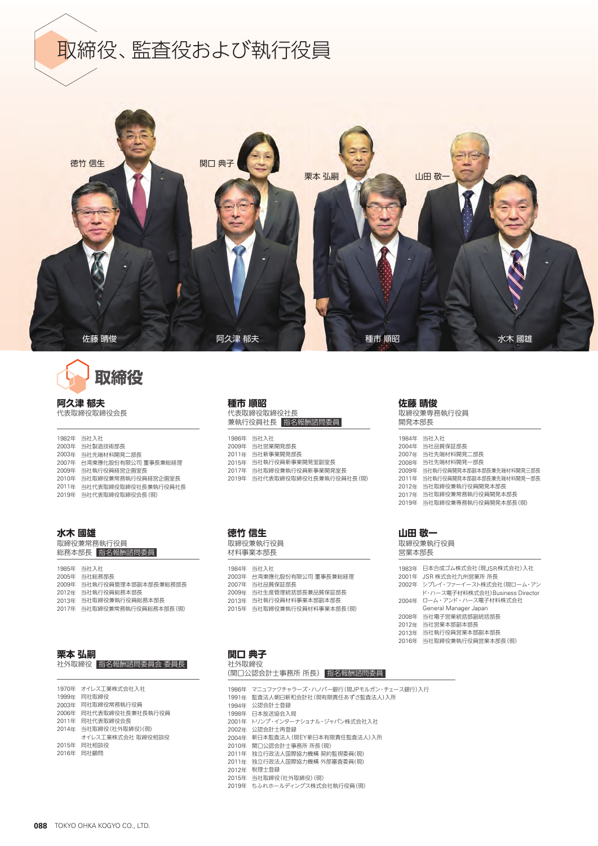





**阿久津 郁夫** 代表取締役取締役会長

|       | 1982年 当社入社          |
|-------|---------------------|
| 2003年 | 当社製造技術部長            |
| 2003年 | 当社先端材料開発二部長         |
| 2007年 | 台湾東應化股份有限公司 董事長兼総経理 |
| 2009年 | 当社執行役員経営企画室長        |
| 2010年 | 当社取締役兼常務執行役員経営企画室長  |
| 2011年 | 当社代表取締役取締役社長兼執行役員社長 |
| 2019年 | 当社代表取締役取締役会長(現)     |

#### **水木 國雄**

取締役兼常務執行役員 総務本部長 指名報酬諮問委員

年 当社入社 年 当社総務部長 年 当社執行役員管理本部副本部長兼総務部長 年 当社執行役員総務本部長 年 当社取締役兼執行役員総務本部長 年 当社取締役兼常務執行役員総務本部長(現)

| 栗本 弘嗣 |                      |
|-------|----------------------|
|       | 社外取締役  指名報酬諮問委員会 委員長 |
|       |                      |

| 1970年 オイレス工業株式会社入社     |
|------------------------|
| 1999年 同社取締役            |
| 2003年 同社取締役常務執行役員      |
| 2006年 同社代表取締役社長兼社長執行役員 |
| 2011年 同社代表取締役会長        |
| 2014年 当社取締役 (社外取締役)(現) |
| オイレス工業株式会社 取締役相談役      |
| 2015年 同社相談役            |
| 2016年 同社顧問             |

## **種市 順昭**

代表取締役取締役社長 兼執行役員社長 指名報酬諮問委員

年 当社入社 年 当社営業開発部長 年 当社新事業開発部長 年 当社執行役員新事業開発室副室長 年 当社取締役兼執行役員新事業開発室長 年 当社代表取締役取締役社長兼執行役員社長(現)

### **徳竹 信生**

取締役兼執行役員 材料事業本部長

年 当社入社 年 台湾東應化股份有限公司 董事長兼総経理 年 当社品質保証部長 年 当社生産管理統括部長兼品質保証部長 年 当社執行役員材料事業本部副本部長 年 当社取締役兼執行役員材料事業本部長(現)

#### **佐藤 晴俊**

取締役兼専務執行役員 開発本部長

| 1984年 | 当社入社                     |
|-------|--------------------------|
| 2004年 | 当社品質保証部長                 |
| 2007年 | 当社先端材料開発二部長              |
| 2008年 | 当社先端材料開発—部長              |
| 2009年 | 当社執行役員開発本部副本部長兼先端材料開発三部長 |
| 2011年 | 当社執行役員開発本部副本部長兼先端材料開発一部長 |
| 2012年 | 当社取締役兼執行役員開発本部長          |
| 2017年 | 当社取締役兼常務執行役員開発本部長        |
| 2019年 | 当社取締役兼専務執行役員開発本部長(現)     |
|       |                          |

#### **山田 敬一**

取締役兼執行役員 営業本部長

| 1983年 日本合成ゴム株式会社 (現JSR株式会社)入社   |
|---------------------------------|
| 2001年 JSR 株式会社九州営業所 所長          |
| 2002年 シプレイ・ファーイースト株式会社(現ローム・アン  |
| ド・ハース電子材料株式会社)Business Director |
| 2004年 ローム・アンド・ハース電子材料株式会社       |
| General Manager Japan           |
| 2008年 当社電子営業統括部副統括部長            |
| 2012年 当社営業本部副本部長                |
| 2013年 当社執行役員営業本部副本部長            |
| 2016年 当社取締役兼執行役員営業本部長(現)        |

### **関口 典子** 社外取締役

# (関口公認会計士事務所 所長) 指名報酬諮問委員 年 マニュファクチャラーズ・ハノバー銀行(現JPモルガン・チェース銀行)入行

- 2000 | コンテンティング・フィー ( 1,000 | 1,000 | 1,000 | 1,000 | 1,000 | 1,000 | 1,000 | 1,000 | 1,000 | 1,000 | 1,000 <br>1991年 監査法人朝日新和会計社 (現有限責任あずさ監査法人)入所 年 公認会計士登録 年 日本放送協会入局 年 トリンプ・インターナショナル・ジャパン株式会社入社 年 公認会計士再登録 年 新日本監査法人(現EY新日本有限責任監査法人)入所 年 関口公認会計士事務所 所長(現) 年 独立行政法人国際協力機構 契約監視委員(現) 年 独立行政法人国際協力機構 外部審査委員(現) 年 税理士登録 年 当社取締役(社外取締役)(現)
- 年 ちふれホールディングス株式会社執行役員(現)